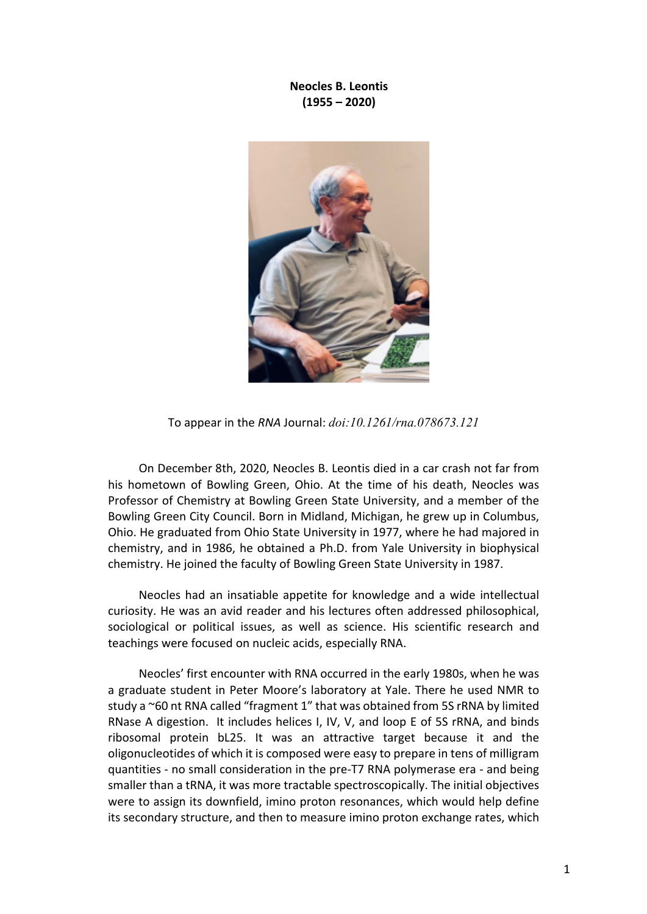**Neocles B. Leontis (1955 – 2020)**



To appear in the *RNA* Journal: *doi:10.1261/rna.078673.121*

On December 8th, 2020, Neocles B. Leontis died in a car crash not far from his hometown of Bowling Green, Ohio. At the time of his death, Neocles was Professor of Chemistry at Bowling Green State University, and a member of the Bowling Green City Council. Born in Midland, Michigan, he grew up in Columbus, Ohio. He graduated from Ohio State University in 1977, where he had majored in chemistry, and in 1986, he obtained a Ph.D. from Yale University in biophysical chemistry. He joined the faculty of Bowling Green State University in 1987.

Neocles had an insatiable appetite for knowledge and a wide intellectual curiosity. He was an avid reader and his lectures often addressed philosophical, sociological or political issues, as well as science. His scientific research and teachings were focused on nucleic acids, especially RNA.

Neocles' first encounter with RNA occurred in the early 1980s, when he was a graduate student in Peter Moore's laboratory at Yale. There he used NMR to study a ~60 nt RNA called "fragment 1" that was obtained from 5S rRNA by limited RNase A digestion. It includes helices I, IV, V, and loop E of 5S rRNA, and binds ribosomal protein bL25. It was an attractive target because it and the oligonucleotides of which it is composed were easy to prepare in tens of milligram quantities - no small consideration in the pre-T7 RNA polymerase era - and being smaller than a tRNA, it was more tractable spectroscopically. The initial objectives were to assign its downfield, imino proton resonances, which would help define its secondary structure, and then to measure imino proton exchange rates, which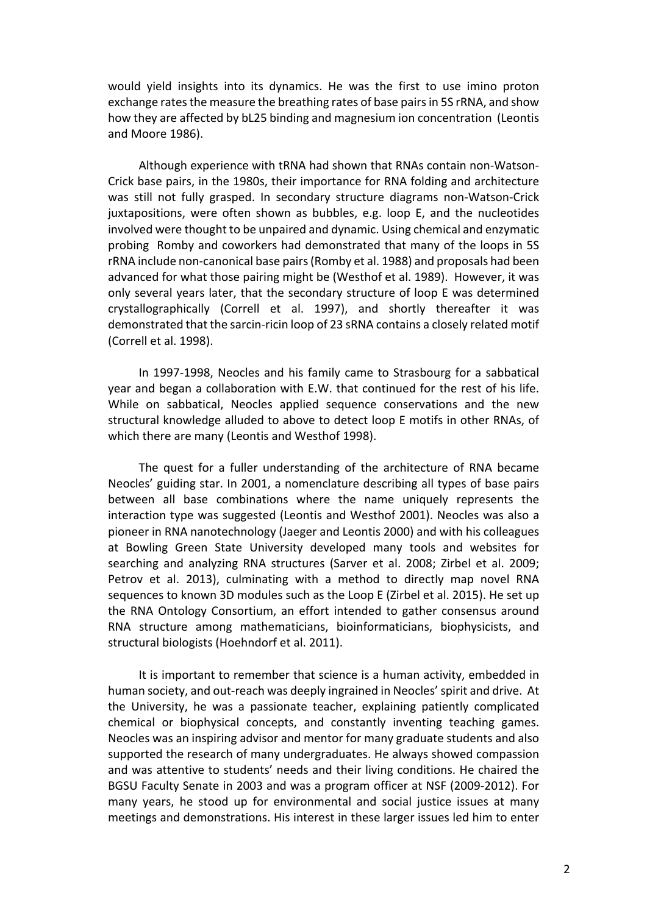would yield insights into its dynamics. He was the first to use imino proton exchange rates the measure the breathing rates of base pairs in 5S rRNA, and show how they are affected by bL25 binding and magnesium ion concentration (Leontis and Moore 1986).

Although experience with tRNA had shown that RNAs contain non-Watson-Crick base pairs, in the 1980s, their importance for RNA folding and architecture was still not fully grasped. In secondary structure diagrams non-Watson-Crick juxtapositions, were often shown as bubbles, e.g. loop E, and the nucleotides involved were thought to be unpaired and dynamic. Using chemical and enzymatic probing Romby and coworkers had demonstrated that many of the loops in 5S rRNA include non-canonical base pairs (Romby et al. 1988) and proposals had been advanced for what those pairing might be (Westhof et al. 1989). However, it was only several years later, that the secondary structure of loop E was determined crystallographically (Correll et al. 1997), and shortly thereafter it was demonstrated that the sarcin-ricin loop of 23 sRNA contains a closely related motif (Correll et al. 1998).

In 1997-1998, Neocles and his family came to Strasbourg for a sabbatical year and began a collaboration with E.W. that continued for the rest of his life. While on sabbatical, Neocles applied sequence conservations and the new structural knowledge alluded to above to detect loop E motifs in other RNAs, of which there are many (Leontis and Westhof 1998).

The quest for a fuller understanding of the architecture of RNA became Neocles' guiding star. In 2001, a nomenclature describing all types of base pairs between all base combinations where the name uniquely represents the interaction type was suggested (Leontis and Westhof 2001). Neocles was also a pioneer in RNA nanotechnology (Jaeger and Leontis 2000) and with his colleagues at Bowling Green State University developed many tools and websites for searching and analyzing RNA structures (Sarver et al. 2008; Zirbel et al. 2009; Petrov et al. 2013), culminating with a method to directly map novel RNA sequences to known 3D modules such as the Loop E (Zirbel et al. 2015). He set up the RNA Ontology Consortium, an effort intended to gather consensus around RNA structure among mathematicians, bioinformaticians, biophysicists, and structural biologists (Hoehndorf et al. 2011).

It is important to remember that science is a human activity, embedded in human society, and out-reach was deeply ingrained in Neocles' spirit and drive. At the University, he was a passionate teacher, explaining patiently complicated chemical or biophysical concepts, and constantly inventing teaching games. Neocles was an inspiring advisor and mentor for many graduate students and also supported the research of many undergraduates. He always showed compassion and was attentive to students' needs and their living conditions. He chaired the BGSU Faculty Senate in 2003 and was a program officer at NSF (2009-2012). For many years, he stood up for environmental and social justice issues at many meetings and demonstrations. His interest in these larger issues led him to enter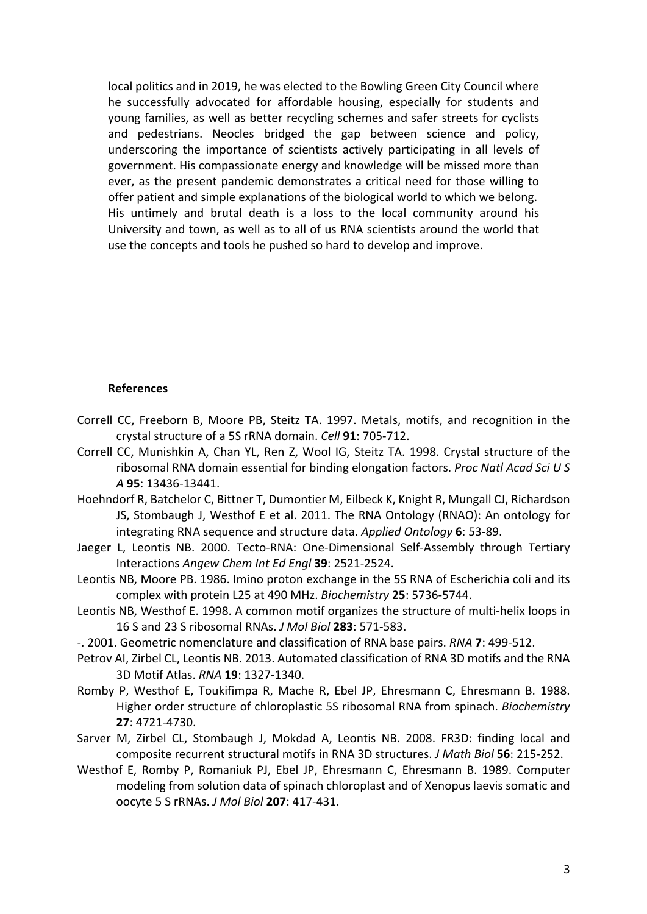local politics and in 2019, he was elected to the Bowling Green City Council where he successfully advocated for affordable housing, especially for students and young families, as well as better recycling schemes and safer streets for cyclists and pedestrians. Neocles bridged the gap between science and policy, underscoring the importance of scientists actively participating in all levels of government. His compassionate energy and knowledge will be missed more than ever, as the present pandemic demonstrates a critical need for those willing to offer patient and simple explanations of the biological world to which we belong. His untimely and brutal death is a loss to the local community around his University and town, as well as to all of us RNA scientists around the world that use the concepts and tools he pushed so hard to develop and improve.

## **References**

- Correll CC, Freeborn B, Moore PB, Steitz TA. 1997. Metals, motifs, and recognition in the crystal structure of a 5S rRNA domain. *Cell* **91**: 705-712.
- Correll CC, Munishkin A, Chan YL, Ren Z, Wool IG, Steitz TA. 1998. Crystal structure of the ribosomal RNA domain essential for binding elongation factors. *Proc Natl Acad Sci U S A* **95**: 13436-13441.
- Hoehndorf R, Batchelor C, Bittner T, Dumontier M, Eilbeck K, Knight R, Mungall CJ, Richardson JS, Stombaugh J, Westhof E et al. 2011. The RNA Ontology (RNAO): An ontology for integrating RNA sequence and structure data. *Applied Ontology* **6**: 53-89.
- Jaeger L, Leontis NB. 2000. Tecto-RNA: One-Dimensional Self-Assembly through Tertiary Interactions *Angew Chem Int Ed Engl* **39**: 2521-2524.
- Leontis NB, Moore PB. 1986. Imino proton exchange in the 5S RNA of Escherichia coli and its complex with protein L25 at 490 MHz. *Biochemistry* **25**: 5736-5744.
- Leontis NB, Westhof E. 1998. A common motif organizes the structure of multi-helix loops in 16 S and 23 S ribosomal RNAs. *J Mol Biol* **283**: 571-583.
- -. 2001. Geometric nomenclature and classification of RNA base pairs. *RNA* **7**: 499-512.
- Petrov AI, Zirbel CL, Leontis NB. 2013. Automated classification of RNA 3D motifs and the RNA 3D Motif Atlas. *RNA* **19**: 1327-1340.
- Romby P, Westhof E, Toukifimpa R, Mache R, Ebel JP, Ehresmann C, Ehresmann B. 1988. Higher order structure of chloroplastic 5S ribosomal RNA from spinach. *Biochemistry* **27**: 4721-4730.
- Sarver M, Zirbel CL, Stombaugh J, Mokdad A, Leontis NB. 2008. FR3D: finding local and composite recurrent structural motifs in RNA 3D structures. *J Math Biol* **56**: 215-252.
- Westhof E, Romby P, Romaniuk PJ, Ebel JP, Ehresmann C, Ehresmann B. 1989. Computer modeling from solution data of spinach chloroplast and of Xenopus laevis somatic and oocyte 5 S rRNAs. *J Mol Biol* **207**: 417-431.